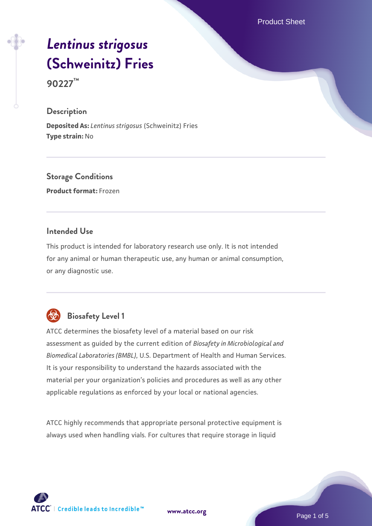Product Sheet

# *[Lentinus strigosus](https://www.atcc.org/products/90227)* **[\(Schweinitz\) Fries](https://www.atcc.org/products/90227)**

**90227™**

#### **Description**

**Deposited As:** *Lentinus strigosus* (Schweinitz) Fries **Type strain:** No

**Storage Conditions Product format:** Frozen

#### **Intended Use**

This product is intended for laboratory research use only. It is not intended for any animal or human therapeutic use, any human or animal consumption, or any diagnostic use.

# **Biosafety Level 1**

ATCC determines the biosafety level of a material based on our risk assessment as guided by the current edition of *Biosafety in Microbiological and Biomedical Laboratories (BMBL)*, U.S. Department of Health and Human Services. It is your responsibility to understand the hazards associated with the material per your organization's policies and procedures as well as any other applicable regulations as enforced by your local or national agencies.

ATCC highly recommends that appropriate personal protective equipment is always used when handling vials. For cultures that require storage in liquid

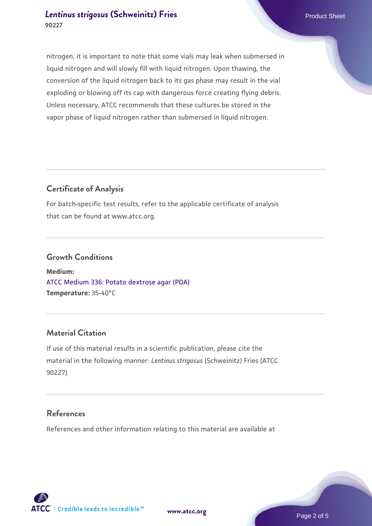### *[Lentinus strigosus](https://www.atcc.org/products/90227)* [\(Schweinitz\) Fries](https://www.atcc.org/products/90227) **Product Sheet** Product Sheet **90227**

nitrogen, it is important to note that some vials may leak when submersed in liquid nitrogen and will slowly fill with liquid nitrogen. Upon thawing, the conversion of the liquid nitrogen back to its gas phase may result in the vial exploding or blowing off its cap with dangerous force creating flying debris. Unless necessary, ATCC recommends that these cultures be stored in the vapor phase of liquid nitrogen rather than submersed in liquid nitrogen.

# **Certificate of Analysis**

For batch-specific test results, refer to the applicable certificate of analysis that can be found at www.atcc.org.

# **Growth Conditions**

**Medium:**  [ATCC Medium 336: Potato dextrose agar \(PDA\)](https://www.atcc.org/-/media/product-assets/documents/microbial-media-formulations/3/3/6/atcc-medium-336.pdf?rev=d9160ad44d934cd8b65175461abbf3b9) **Temperature:** 35-40°C

# **Material Citation**

If use of this material results in a scientific publication, please cite the material in the following manner: *Lentinus strigosus* (Schweinitz) Fries (ATCC 90227)

#### **References**

References and other information relating to this material are available at

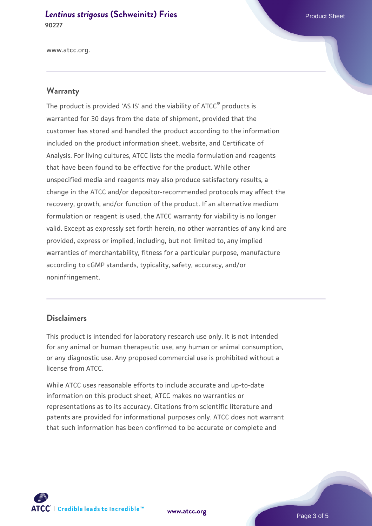*[Lentinus strigosus](https://www.atcc.org/products/90227)* [\(Schweinitz\) Fries](https://www.atcc.org/products/90227) **Product Sheet** Product Sheet **90227**

www.atcc.org.

#### **Warranty**

The product is provided 'AS IS' and the viability of ATCC® products is warranted for 30 days from the date of shipment, provided that the customer has stored and handled the product according to the information included on the product information sheet, website, and Certificate of Analysis. For living cultures, ATCC lists the media formulation and reagents that have been found to be effective for the product. While other unspecified media and reagents may also produce satisfactory results, a change in the ATCC and/or depositor-recommended protocols may affect the recovery, growth, and/or function of the product. If an alternative medium formulation or reagent is used, the ATCC warranty for viability is no longer valid. Except as expressly set forth herein, no other warranties of any kind are provided, express or implied, including, but not limited to, any implied warranties of merchantability, fitness for a particular purpose, manufacture according to cGMP standards, typicality, safety, accuracy, and/or noninfringement.

#### **Disclaimers**

This product is intended for laboratory research use only. It is not intended for any animal or human therapeutic use, any human or animal consumption, or any diagnostic use. Any proposed commercial use is prohibited without a license from ATCC.

While ATCC uses reasonable efforts to include accurate and up-to-date information on this product sheet, ATCC makes no warranties or representations as to its accuracy. Citations from scientific literature and patents are provided for informational purposes only. ATCC does not warrant that such information has been confirmed to be accurate or complete and



**[www.atcc.org](http://www.atcc.org)**

Page 3 of 5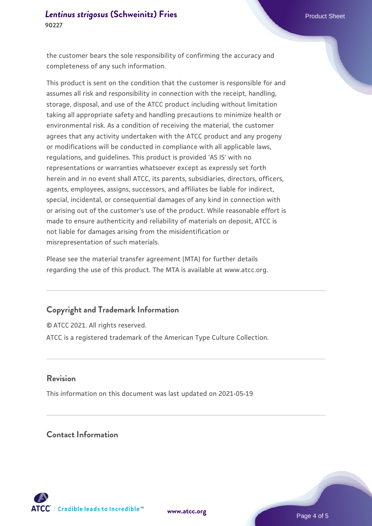the customer bears the sole responsibility of confirming the accuracy and completeness of any such information.

This product is sent on the condition that the customer is responsible for and assumes all risk and responsibility in connection with the receipt, handling, storage, disposal, and use of the ATCC product including without limitation taking all appropriate safety and handling precautions to minimize health or environmental risk. As a condition of receiving the material, the customer agrees that any activity undertaken with the ATCC product and any progeny or modifications will be conducted in compliance with all applicable laws, regulations, and guidelines. This product is provided 'AS IS' with no representations or warranties whatsoever except as expressly set forth herein and in no event shall ATCC, its parents, subsidiaries, directors, officers, agents, employees, assigns, successors, and affiliates be liable for indirect, special, incidental, or consequential damages of any kind in connection with or arising out of the customer's use of the product. While reasonable effort is made to ensure authenticity and reliability of materials on deposit, ATCC is not liable for damages arising from the misidentification or misrepresentation of such materials.

Please see the material transfer agreement (MTA) for further details regarding the use of this product. The MTA is available at www.atcc.org.

#### **Copyright and Trademark Information**

© ATCC 2021. All rights reserved. ATCC is a registered trademark of the American Type Culture Collection.

#### **Revision**

This information on this document was last updated on 2021-05-19

# **Contact Information**